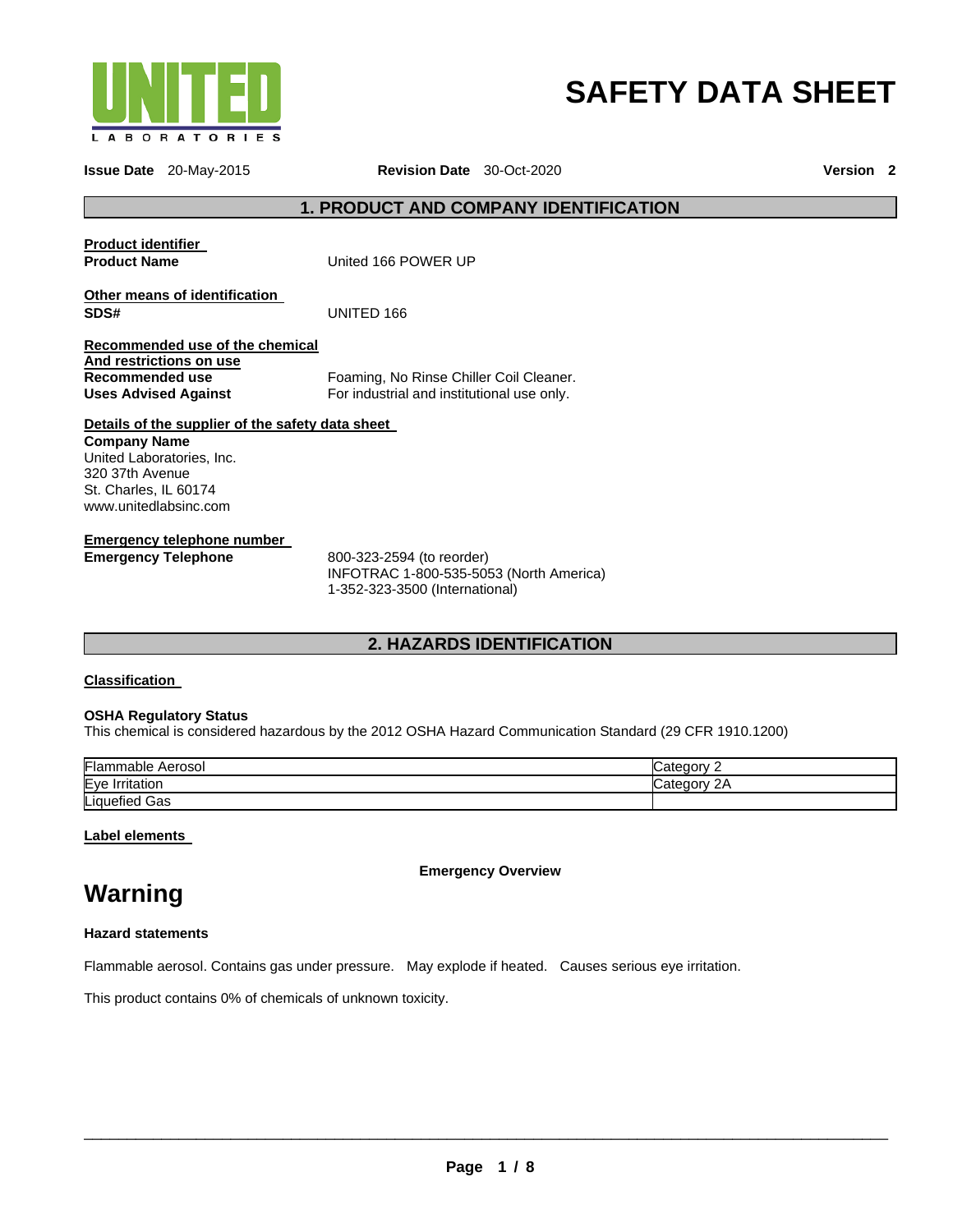

# **SAFETY DATA SHEET**

**Issue Date** 20-May-2015 **Revision Date** 30-Oct-2020 **Version 2**

# **1. PRODUCT AND COMPANY IDENTIFICATION**

| <b>Product identifier</b><br><b>Product Name</b>                                                             | United 166 POWER UP                                  |
|--------------------------------------------------------------------------------------------------------------|------------------------------------------------------|
| Other means of identification<br>SDS#                                                                        | UNITED 166                                           |
| Recommended use of the chemical<br>And restrictions on use<br>Recommended use<br><b>Uses Advised Against</b> | Foaming, No Rinse Chil<br>For industrial and institu |

Rinse Chiller Coil Cleaner. and institutional use only.

#### **Details of the supplier of the safety data sheet Company Name**

United Laboratories, Inc. 320 37th Avenue St. Charles, IL 60174 www.unitedlabsinc.com

# **Emergency telephone number**

**Emergency Telephone** 800-323-2594 (to reorder) INFOTRAC 1-800-535-5053 (North America) 1-352-323-3500 (International)

# **2. HAZARDS IDENTIFICATION**

#### **Classification**

#### **OSHA Regulatory Status**

This chemical is considered hazardous by the 2012 OSHA Hazard Communication Standard (29 CFR 1910.1200)

| Flan.<br>Aerosol<br>mable   | ∶ategon                       |
|-----------------------------|-------------------------------|
| Eye<br><b>Irritation</b>    | ateت<br>eaorv<br>$\epsilon$ r |
| Liquefied<br>Gas<br>- - - - |                               |

**Label elements** 

**Emergency Overview** 

# **Warning**

**Hazard statements**

Flammable aerosol. Contains gas under pressure. May explode if heated. Causes serious eye irritation.

This product contains 0% of chemicals of unknown toxicity.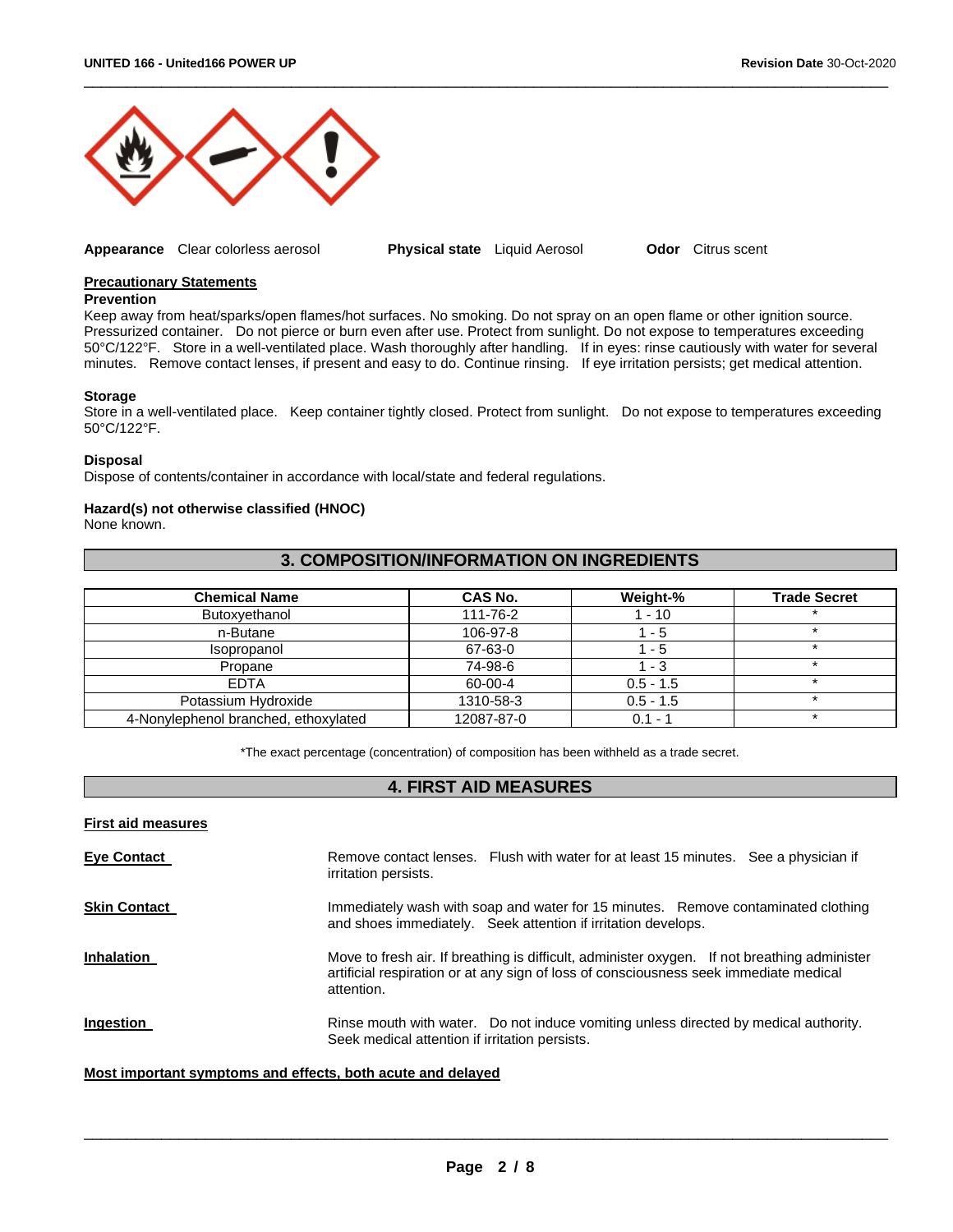

**Appearance** Clear colorless aerosol **Physical state** Liquid Aerosol **Odor** Citrus scent

\_\_\_\_\_\_\_\_\_\_\_\_\_\_\_\_\_\_\_\_\_\_\_\_\_\_\_\_\_\_\_\_\_\_\_\_\_\_\_\_\_\_\_\_\_\_\_\_\_\_\_\_\_\_\_\_\_\_\_\_\_\_\_\_\_\_\_\_\_\_\_\_\_\_\_\_\_\_\_\_\_\_\_\_\_\_\_\_\_\_\_\_\_

#### **Precautionary Statements**

#### **Prevention**

Keep away from heat/sparks/open flames/hot surfaces. No smoking. Do not spray on an open flame or other ignition source. Pressurized container. Do not pierce or burn even after use. Protect from sunlight. Do not expose to temperatures exceeding 50°C/122°F. Store in a well-ventilated place. Wash thoroughly after handling. If in eyes: rinse cautiously with water for several minutes. Remove contact lenses, if present and easy to do. Continue rinsing. If eye irritation persists; get medical attention.

#### **Storage**

Store in a well-ventilated place. Keep container tightly closed. Protect from sunlight. Do not expose to temperatures exceeding 50°C/122°F.

#### **Disposal**

Dispose of contents/container in accordance with local/state and federal regulations.

#### **Hazard(s) not otherwise classified (HNOC)**

None known.

# **3. COMPOSITION/INFORMATION ON INGREDIENTS**

| <b>Chemical Name</b>                 | CAS No.    | Weight-%    | <b>Trade Secret</b> |
|--------------------------------------|------------|-------------|---------------------|
| Butoxyethanol                        | 111-76-2   | 1 - 10      |                     |
| n-Butane                             | 106-97-8   | $1 - 5$     |                     |
| Isopropanol                          | 67-63-0    | $1 - 5$     |                     |
| Propane                              | 74-98-6    | $1 - 3$     |                     |
| <b>EDTA</b>                          | 60-00-4    | $0.5 - 1.5$ |                     |
| Potassium Hydroxide                  | 1310-58-3  | $0.5 - 1.5$ |                     |
| 4-Nonylephenol branched, ethoxylated | 12087-87-0 | $0.1 - 1$   |                     |

\*The exact percentage (concentration) of composition has been withheld as a trade secret.

# **4. FIRST AID MEASURES**

| <b>First aid measures</b> |                                                                                                                                                                                                     |
|---------------------------|-----------------------------------------------------------------------------------------------------------------------------------------------------------------------------------------------------|
| <b>Eye Contact</b>        | Remove contact lenses. Flush with water for at least 15 minutes. See a physician if<br>irritation persists.                                                                                         |
| <b>Skin Contact</b>       | Immediately wash with soap and water for 15 minutes. Remove contaminated clothing<br>and shoes immediately. Seek attention if irritation develops.                                                  |
| <b>Inhalation</b>         | Move to fresh air. If breathing is difficult, administer oxygen. If not breathing administer<br>artificial respiration or at any sign of loss of consciousness seek immediate medical<br>attention. |
| <b>Ingestion</b>          | Rinse mouth with water. Do not induce vomiting unless directed by medical authority.<br>Seek medical attention if irritation persists.                                                              |

#### **Most important symptoms and effects, both acute and delayed**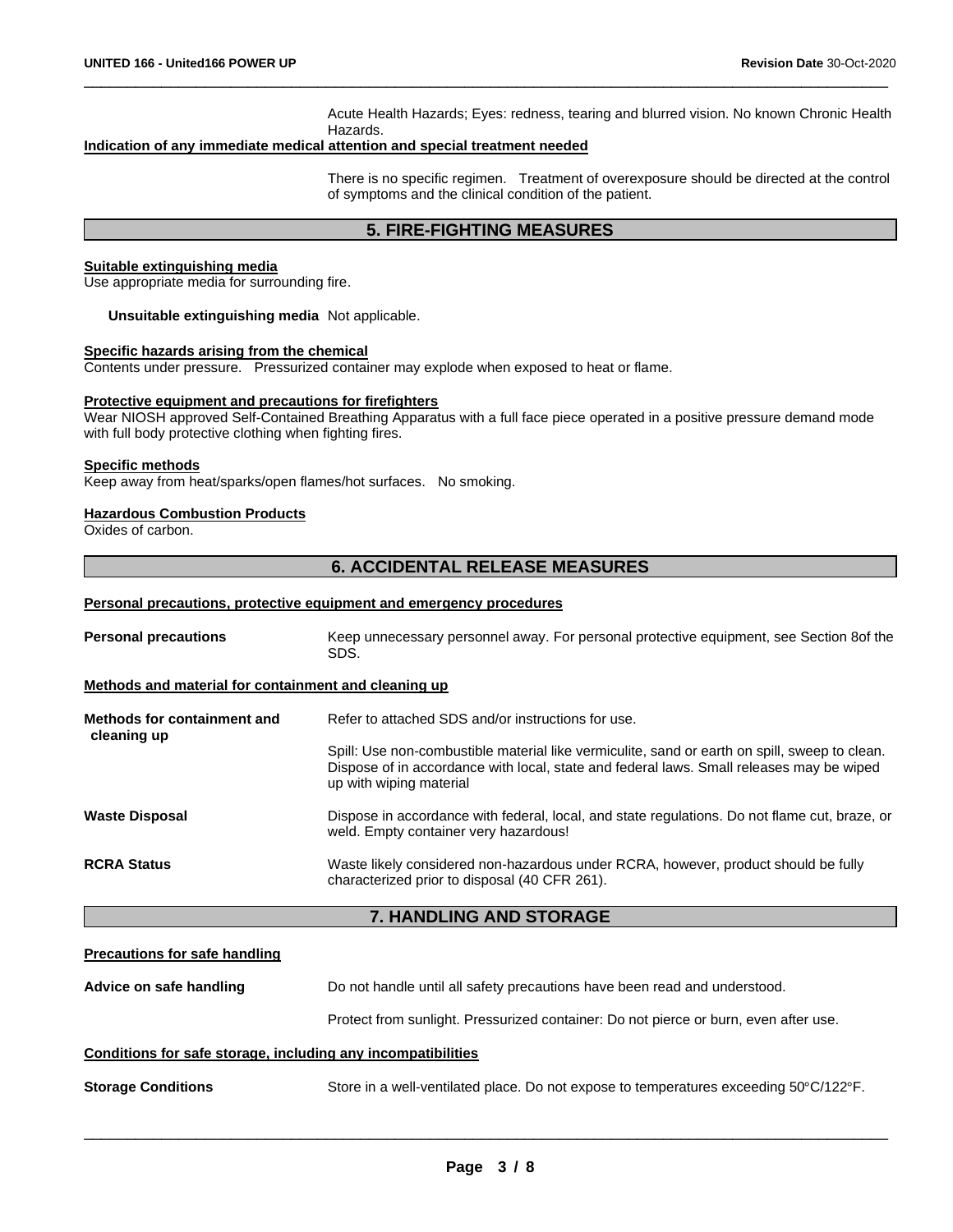Acute Health Hazards; Eyes: redness, tearing and blurred vision. No known Chronic Health Hazards.

#### **Indication of any immediate medical attention and special treatment needed**

There is no specific regimen. Treatment of overexposure should be directed at the control of symptoms and the clinical condition of the patient.

# **5. FIRE-FIGHTING MEASURES**

\_\_\_\_\_\_\_\_\_\_\_\_\_\_\_\_\_\_\_\_\_\_\_\_\_\_\_\_\_\_\_\_\_\_\_\_\_\_\_\_\_\_\_\_\_\_\_\_\_\_\_\_\_\_\_\_\_\_\_\_\_\_\_\_\_\_\_\_\_\_\_\_\_\_\_\_\_\_\_\_\_\_\_\_\_\_\_\_\_\_\_\_\_

#### **Suitable extinguishing media**

Use appropriate media for surrounding fire.

**Unsuitable extinguishing media** Not applicable.

#### **Specific hazards arising from the chemical**

Contents under pressure. Pressurized container may explode when exposed to heat or flame.

#### **Protective equipment and precautions for firefighters**

Wear NIOSH approved Self-Contained Breathing Apparatus with a full face piece operated in a positive pressure demand mode with full body protective clothing when fighting fires.

#### **Specific methods**

Keep away from heat/sparks/open flames/hot surfaces. No smoking.

# **Hazardous Combustion Products**

Oxides of carbon.

# **6. ACCIDENTAL RELEASE MEASURES**

#### **Personal precautions, protective equipment and emergency procedures**

| <b>Personal precautions</b>                          | Keep unnecessary personnel away. For personal protective equipment, see Section 8of the<br>SDS.                                                                                                                      |
|------------------------------------------------------|----------------------------------------------------------------------------------------------------------------------------------------------------------------------------------------------------------------------|
| Methods and material for containment and cleaning up |                                                                                                                                                                                                                      |
| Methods for containment and                          | Refer to attached SDS and/or instructions for use.                                                                                                                                                                   |
| cleaning up                                          | Spill: Use non-combustible material like vermiculite, sand or earth on spill, sweep to clean.<br>Dispose of in accordance with local, state and federal laws. Small releases may be wiped<br>up with wiping material |
| <b>Waste Disposal</b>                                | Dispose in accordance with federal, local, and state regulations. Do not flame cut, braze, or<br>weld. Empty container very hazardous!                                                                               |
| <b>RCRA Status</b>                                   | Waste likely considered non-hazardous under RCRA, however, product should be fully<br>characterized prior to disposal (40 CFR 261).                                                                                  |

### **7. HANDLING AND STORAGE**

#### **Precautions for safe handling**

| Advice on safe handling                                      | Do not handle until all safety precautions have been read and understood.            |
|--------------------------------------------------------------|--------------------------------------------------------------------------------------|
|                                                              | Protect from sunlight. Pressurized container: Do not pierce or burn, even after use. |
| Conditions for safe storage, including any incompatibilities |                                                                                      |

**Storage Conditions** Store in a well-ventilated place. Do not expose to temperatures exceeding 50°C/122°F.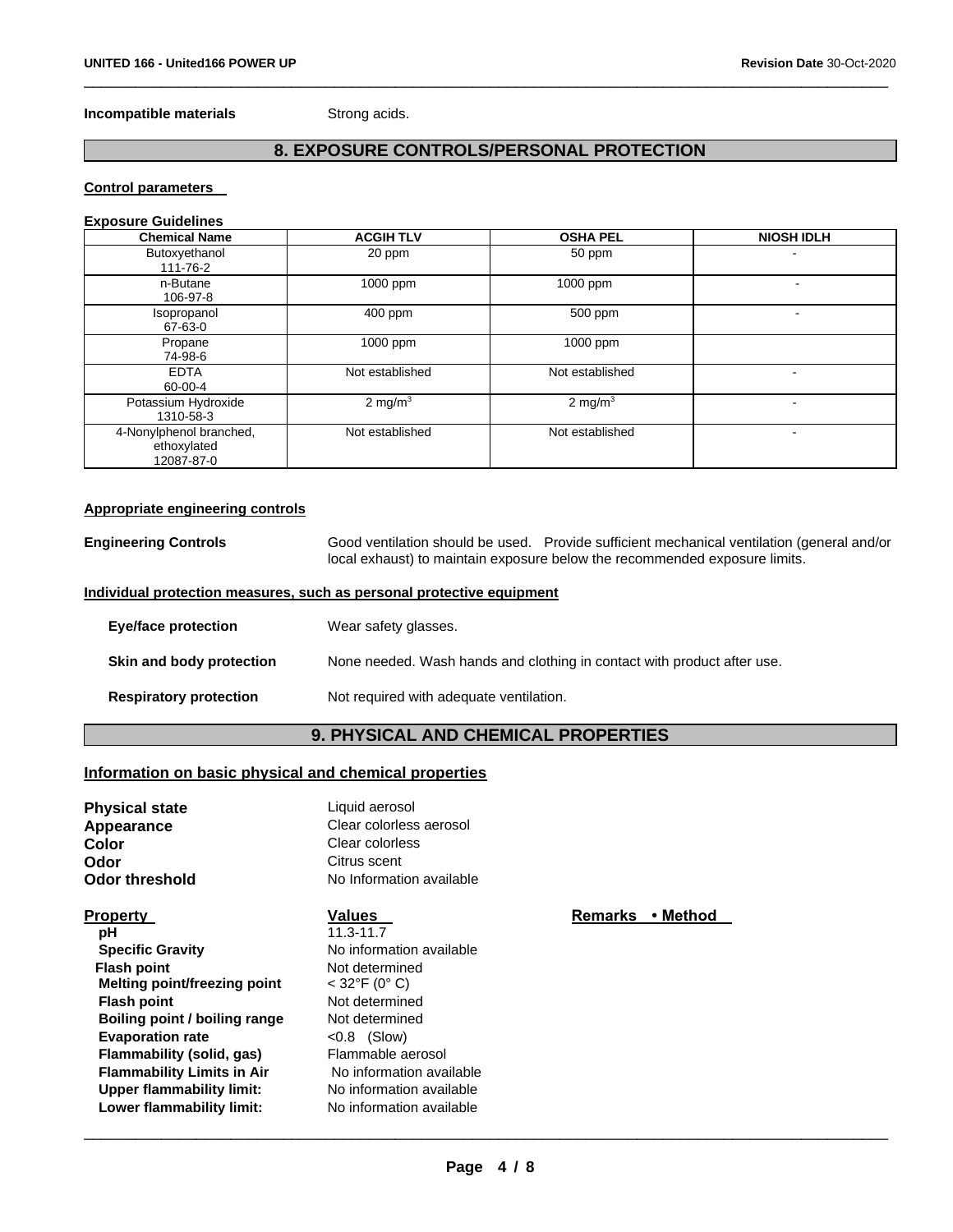### **Incompatible materials Strong acids.**

# **8. EXPOSURE CONTROLS/PERSONAL PROTECTION**

\_\_\_\_\_\_\_\_\_\_\_\_\_\_\_\_\_\_\_\_\_\_\_\_\_\_\_\_\_\_\_\_\_\_\_\_\_\_\_\_\_\_\_\_\_\_\_\_\_\_\_\_\_\_\_\_\_\_\_\_\_\_\_\_\_\_\_\_\_\_\_\_\_\_\_\_\_\_\_\_\_\_\_\_\_\_\_\_\_\_\_\_\_

# **Control parameters**

#### **Exposure Guidelines**

| <b>Chemical Name</b>                                 | <b>ACGIH TLV</b> | <b>OSHA PEL</b> | <b>NIOSH IDLH</b>        |
|------------------------------------------------------|------------------|-----------------|--------------------------|
| Butoxyethanol<br>111-76-2                            | 20 ppm           | 50 ppm          |                          |
| n-Butane<br>106-97-8                                 | 1000 ppm         | 1000 ppm        | $\overline{\phantom{0}}$ |
| Isopropanol<br>67-63-0                               | 400 ppm          | 500 ppm         |                          |
| Propane<br>74-98-6                                   | 1000 ppm         | 1000 ppm        |                          |
| <b>EDTA</b><br>60-00-4                               | Not established  | Not established | -                        |
| Potassium Hydroxide<br>1310-58-3                     | 2 mg/m $3$       | 2 mg/m $3$      | -                        |
| 4-Nonylphenol branched,<br>ethoxylated<br>12087-87-0 | Not established  | Not established | -                        |

#### **Appropriate engineering controls**

**Engineering Controls** Good ventilation should be used. Provide sufficient mechanical ventilation (general and/or local exhaust) to maintain exposure below the recommended exposure limits.

#### **Individual protection measures, such as personal protective equipment**

| Eye/face protection           | Wear safety glasses.                                                    |
|-------------------------------|-------------------------------------------------------------------------|
| Skin and body protection      | None needed. Wash hands and clothing in contact with product after use. |
| <b>Respiratory protection</b> | Not required with adequate ventilation.                                 |

# **9. PHYSICAL AND CHEMICAL PROPERTIES**

# **Information on basic physical and chemical properties**

| Liquid aerosol<br>Clear colorless aerosol<br>Clear colorless<br>Citrus scent<br>No Information available |          |
|----------------------------------------------------------------------------------------------------------|----------|
| Values                                                                                                   | ∙ Method |
| $11.3 - 11.7$                                                                                            |          |
| No information available                                                                                 |          |
| Not determined                                                                                           |          |
| $<$ 32°F (0° C)                                                                                          |          |
| Not determined                                                                                           |          |
| Not determined                                                                                           |          |
| $< 0.8$ (Slow)                                                                                           |          |
| Flammable aerosol                                                                                        |          |
| No information available                                                                                 |          |
| No information available                                                                                 |          |
| No information available                                                                                 |          |
|                                                                                                          | Remarks  |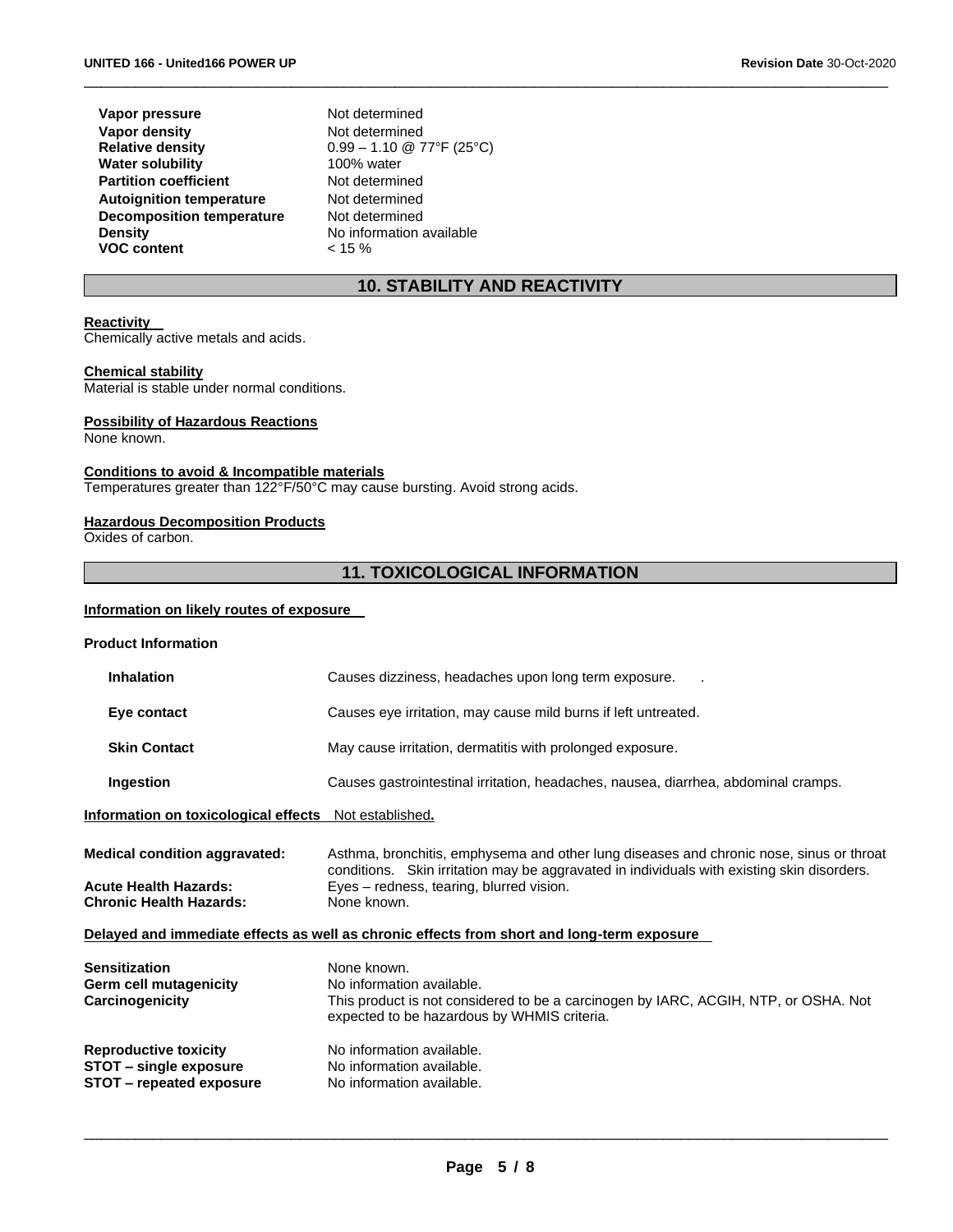**Vapor pressure Not determined Vapor density Relative density Water solubility Partition coefficient** Not determined **Autoignition temperature** Not determined **Decomposition temperature Density VOC content**

Not determined 0.99 – 1.10 @ 77°F (25°C)<br>100% water Not determined No information available  $< 15 %$ 

# **10. STABILITY AND REACTIVITY**

\_\_\_\_\_\_\_\_\_\_\_\_\_\_\_\_\_\_\_\_\_\_\_\_\_\_\_\_\_\_\_\_\_\_\_\_\_\_\_\_\_\_\_\_\_\_\_\_\_\_\_\_\_\_\_\_\_\_\_\_\_\_\_\_\_\_\_\_\_\_\_\_\_\_\_\_\_\_\_\_\_\_\_\_\_\_\_\_\_\_\_\_\_

# **Reactivity**

Chemically active metals and acids.

#### **Chemical stability**

Material is stable under normal conditions.

#### **Possibility of Hazardous Reactions**

None known.

#### **Conditions to avoid & Incompatible materials**

Temperatures greater than 122°F/50°C may cause bursting. Avoid strong acids.

#### **Hazardous Decomposition Products**

Oxides of carbon.

# **11. TOXICOLOGICAL INFORMATION**

#### **Information on likely routes of exposure**

| <b>Product Information</b>                                                                             |                                                                                                                                                                                                                                                  |  |
|--------------------------------------------------------------------------------------------------------|--------------------------------------------------------------------------------------------------------------------------------------------------------------------------------------------------------------------------------------------------|--|
| <b>Inhalation</b>                                                                                      | Causes dizziness, headaches upon long term exposure.                                                                                                                                                                                             |  |
| Eye contact                                                                                            | Causes eye irritation, may cause mild burns if left untreated.                                                                                                                                                                                   |  |
| <b>Skin Contact</b>                                                                                    | May cause irritation, dermatitis with prolonged exposure.                                                                                                                                                                                        |  |
| Ingestion                                                                                              | Causes gastrointestinal irritation, headaches, nausea, diarrhea, abdominal cramps.                                                                                                                                                               |  |
| Information on toxicological effects Not established.                                                  |                                                                                                                                                                                                                                                  |  |
| <b>Medical condition aggravated:</b><br><b>Acute Health Hazards:</b><br><b>Chronic Health Hazards:</b> | Asthma, bronchitis, emphysema and other lung diseases and chronic nose, sinus or throat<br>conditions. Skin irritation may be aggravated in individuals with existing skin disorders.<br>Eyes – redness, tearing, blurred vision.<br>None known. |  |
| Delayed and immediate effects as well as chronic effects from short and long-term exposure             |                                                                                                                                                                                                                                                  |  |
| Sensitization<br>Germ cell mutagenicity<br>Carcinogenicity                                             | None known.<br>No information available.<br>This product is not considered to be a carcinogen by IARC, ACGIH, NTP, or OSHA. Not<br>expected to be hazardous by WHMIS criteria.                                                                   |  |
| <b>Reproductive toxicity</b><br>STOT – single exposure<br>STOT - repeated exposure                     | No information available.<br>No information available.<br>No information available.                                                                                                                                                              |  |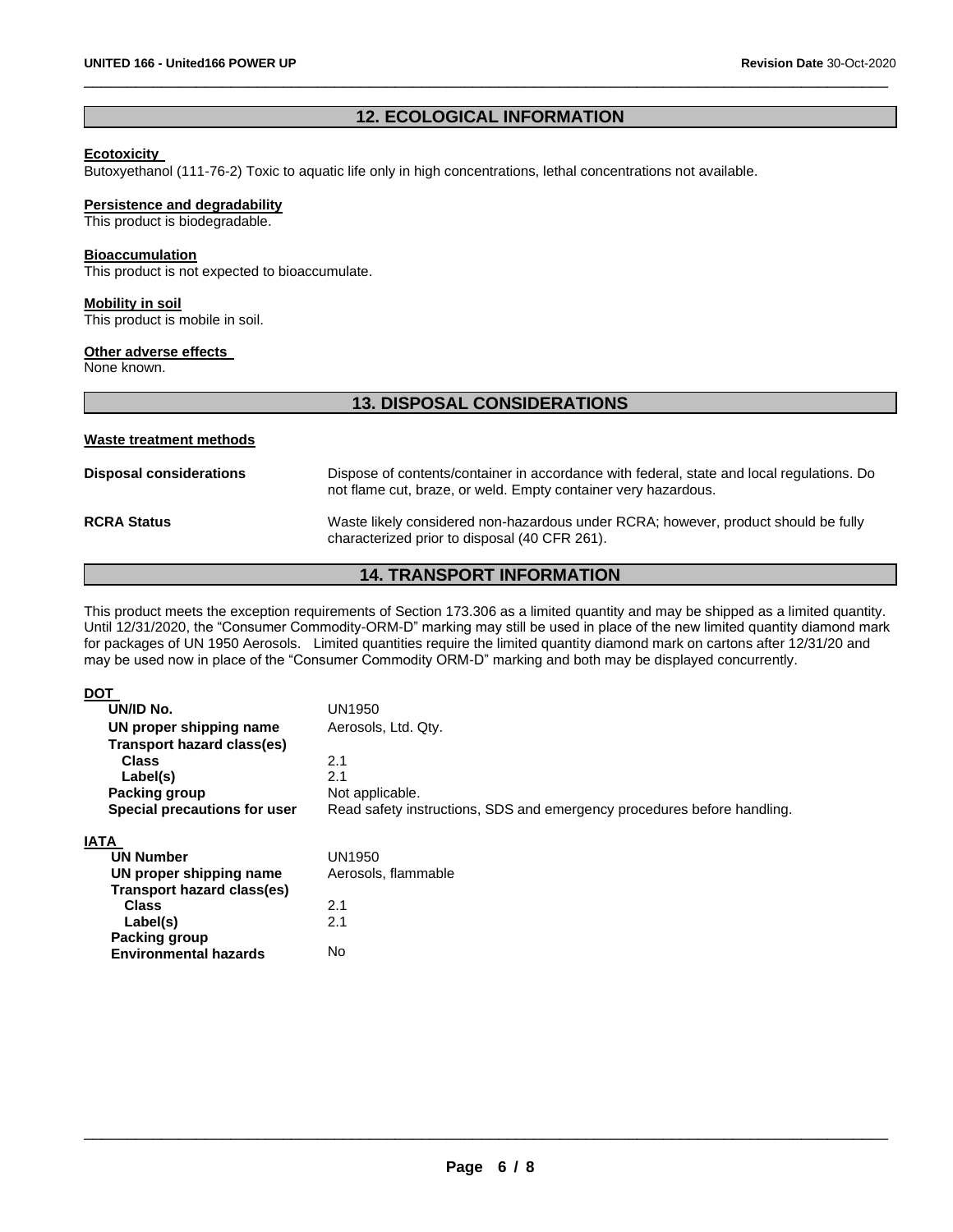# **12. ECOLOGICAL INFORMATION**

\_\_\_\_\_\_\_\_\_\_\_\_\_\_\_\_\_\_\_\_\_\_\_\_\_\_\_\_\_\_\_\_\_\_\_\_\_\_\_\_\_\_\_\_\_\_\_\_\_\_\_\_\_\_\_\_\_\_\_\_\_\_\_\_\_\_\_\_\_\_\_\_\_\_\_\_\_\_\_\_\_\_\_\_\_\_\_\_\_\_\_\_\_

#### **Ecotoxicity**

Butoxyethanol (111-76-2) Toxic to aquatic life only in high concentrations, lethal concentrations not available.

#### **Persistence and degradability**

This product is biodegradable.

#### **Bioaccumulation**

This product is not expected to bioaccumulate.

**Mobility in soil** This product is mobile in soil.

#### **Other adverse effects**

None known.

### **13. DISPOSAL CONSIDERATIONS**

#### **Waste treatment methods**

| <b>Disposal considerations</b> | Dispose of contents/container in accordance with federal, state and local regulations. Do<br>not flame cut, braze, or weld. Empty container very hazardous. |
|--------------------------------|-------------------------------------------------------------------------------------------------------------------------------------------------------------|
| <b>RCRA Status</b>             | Waste likely considered non-hazardous under RCRA; however, product should be fully<br>characterized prior to disposal (40 CFR 261).                         |

# **14. TRANSPORT INFORMATION**

This product meets the exception requirements of Section 173.306 as a limited quantity and may be shipped as a limited quantity. Until 12/31/2020, the "Consumer Commodity-ORM-D" marking may still be used in place of the new limited quantity diamond mark for packages of UN 1950 Aerosols. Limited quantities require the limited quantity diamond mark on cartons after 12/31/20 and may be used now in place of the "Consumer Commodity ORM-D" marking and both may be displayed concurrently.

| DOT                          |                                                                         |
|------------------------------|-------------------------------------------------------------------------|
| UN/ID No.                    | UN1950                                                                  |
| UN proper shipping name      | Aerosols, Ltd. Qty.                                                     |
| Transport hazard class(es)   |                                                                         |
| <b>Class</b>                 | 2.1                                                                     |
| Label(s)                     | 2.1                                                                     |
| <b>Packing group</b>         | Not applicable.                                                         |
| Special precautions for user | Read safety instructions, SDS and emergency procedures before handling. |
|                              |                                                                         |
| IATA                         |                                                                         |

UN1950

2.1 2.1

No

Aerosols, flammable

 **UN Number UN proper shipping name Transport hazard class(es) Class Label(s) Packing group**

 **Environmental hazards**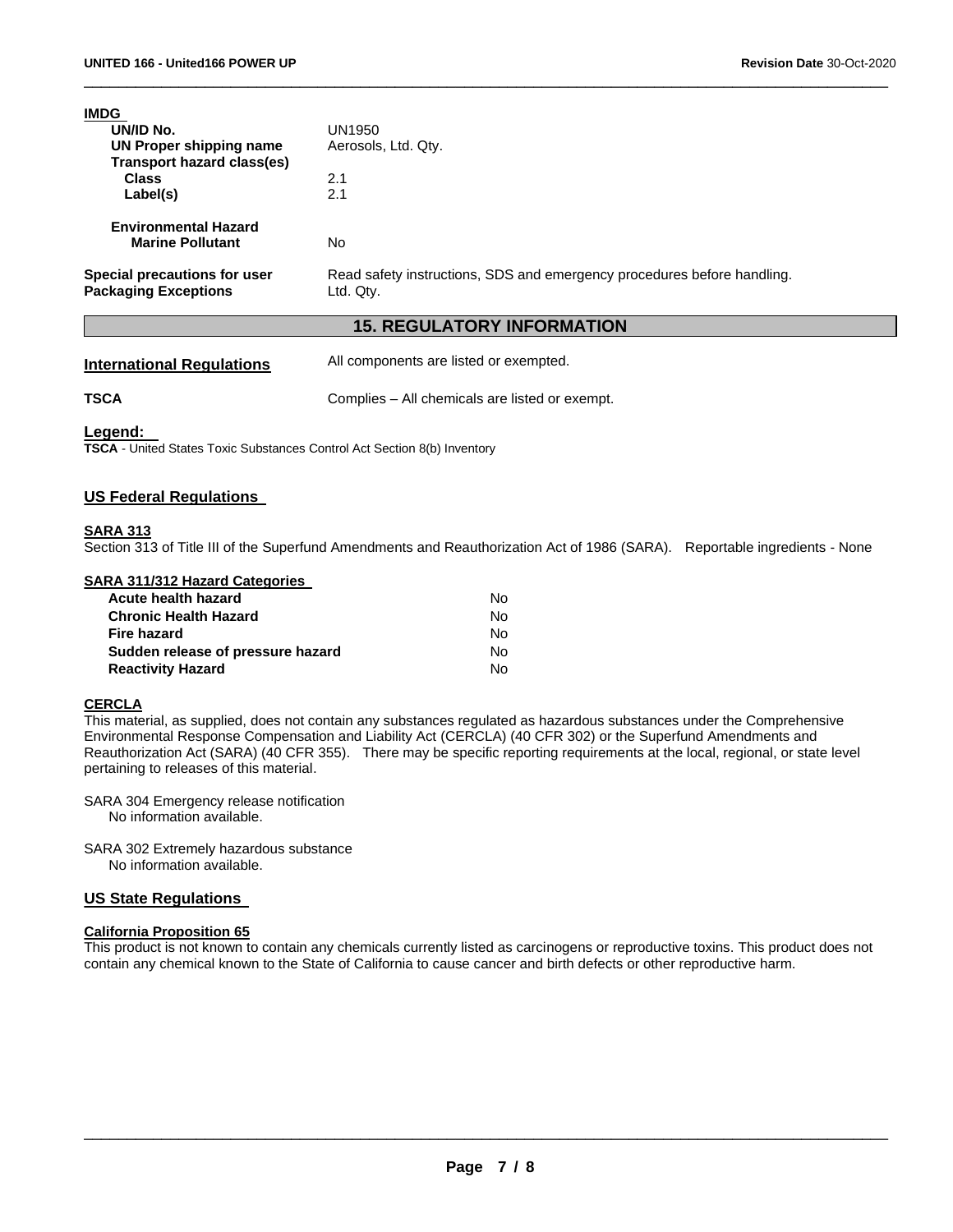| IMDG                                                        |                                                                                      |
|-------------------------------------------------------------|--------------------------------------------------------------------------------------|
| UN/ID No.                                                   | UN1950                                                                               |
| UN Proper shipping name                                     | Aerosols, Ltd. Qty.                                                                  |
| Transport hazard class(es)                                  |                                                                                      |
| <b>Class</b>                                                | 2.1                                                                                  |
| Label(s)                                                    | 2.1                                                                                  |
| <b>Environmental Hazard</b>                                 |                                                                                      |
| <b>Marine Pollutant</b>                                     | No                                                                                   |
| Special precautions for user<br><b>Packaging Exceptions</b> | Read safety instructions, SDS and emergency procedures before handling.<br>Ltd. Qty. |
|                                                             |                                                                                      |

# **15. REGULATORY INFORMATION**

\_\_\_\_\_\_\_\_\_\_\_\_\_\_\_\_\_\_\_\_\_\_\_\_\_\_\_\_\_\_\_\_\_\_\_\_\_\_\_\_\_\_\_\_\_\_\_\_\_\_\_\_\_\_\_\_\_\_\_\_\_\_\_\_\_\_\_\_\_\_\_\_\_\_\_\_\_\_\_\_\_\_\_\_\_\_\_\_\_\_\_\_\_

**International Regulations** All components are listed or exempted.

**TSCA Complies – All chemicals are listed or exempt.** 

#### **Legend:**

**TSCA** - United States Toxic Substances Control Act Section 8(b) Inventory

# **US Federal Regulations**

### **SARA 313**

Section 313 of Title III of the Superfund Amendments and Reauthorization Act of 1986 (SARA). Reportable ingredients - None

#### **SARA 311/312 Hazard Categories**

| Acute health hazard               | No. |
|-----------------------------------|-----|
| <b>Chronic Health Hazard</b>      | No. |
| Fire hazard                       | N٥  |
| Sudden release of pressure hazard | No. |
| <b>Reactivity Hazard</b>          | No. |

### **CERCLA**

This material, as supplied, does not contain any substances regulated as hazardous substances under the Comprehensive Environmental Response Compensation and Liability Act (CERCLA) (40 CFR 302) or the Superfund Amendments and Reauthorization Act (SARA) (40 CFR 355). There may be specific reporting requirements at the local, regional, or state level pertaining to releases of this material.

- SARA 304 Emergency release notification No information available.
- SARA 302 Extremely hazardous substance No information available.

#### **US State Regulations**

# **California Proposition 65**

This product is not known to contain any chemicals currently listed as carcinogens or reproductive toxins. This product does not contain any chemical known to the State of California to cause cancer and birth defects or other reproductive harm.